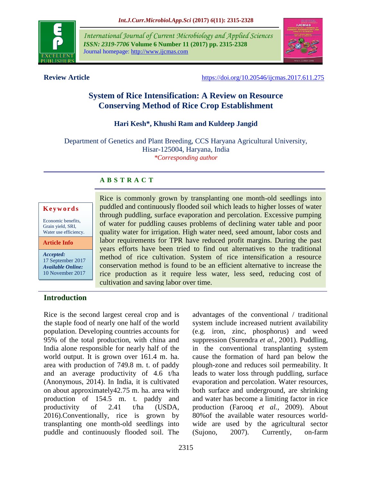

*International Journal of Current Microbiology and Applied Sciences ISSN: 2319-7706* **Volume 6 Number 11 (2017) pp. 2315-2328** Journal homepage: http://www.ijcmas.com



**Review Article** <https://doi.org/10.20546/ijcmas.2017.611.275>

# **System of Rice Intensification: A Review on Resource Conserving Method of Rice Crop Establishment**

# **Hari Kesh\*, Khushi Ram and Kuldeep Jangid**

Department of Genetics and Plant Breeding, CCS Haryana Agricultural University, Hisar-125004, Haryana, India *\*Corresponding author*

## **A B S T R A C T**

#### **K e y w o r d s**

Economic benefits, Grain yield, SRI, Water use efficiency.

**Article Info**

*Accepted:*  17 September 2017 *Available Online:* 10 November 2017

Rice is commonly grown by transplanting one month-old seedlings into puddled and continuously flooded soil which leads to higher losses of water through puddling, surface evaporation and percolation. Excessive pumping of water for puddling causes problems of declining water table and poor quality water for irrigation. High water need, seed amount, labor costs and labor requirements for TPR have reduced profit margins. During the past years efforts have been tried to find out alternatives to the traditional method of rice cultivation. System of rice intensification a resource conservation method is found to be an efficient alternative to increase the rice production as it require less water, less seed, reducing cost of cultivation and saving labor over time.

## **Introduction**

Rice is the second largest cereal crop and is the staple food of nearly one half of the world population. Developing countries accounts for 95% of the total production, with china and India alone responsible for nearly half of the world output. It is grown over 161.4 m. ha. area with production of 749.8 m. t. of paddy and an average productivity of 4.6 t/ha (Anonymous, 2014). In India, it is cultivated on about approximately42.75 m. ha. area with production of 154.5 m. t. paddy and productivity of 2.41 t/ha (USDA, 2016).Conventionally, rice is grown by transplanting one month-old seedlings into puddle and continuously flooded soil. The

advantages of the conventional / traditional system include increased nutrient availability (e.g. iron, zinc, phosphorus) and weed suppression (Surendra *et al.,* 2001). Puddling, in the conventional transplanting system cause the formation of hard pan below the plough-zone and reduces soil permeability. It leads to water loss through puddling, surface evaporation and percolation. Water resources, both surface and underground, are shrinking and water has become a limiting factor in rice production (Farooq *et al.,* 2009). About 80%of the available water resources worldwide are used by the agricultural sector (Sujono, 2007). Currently, on-farm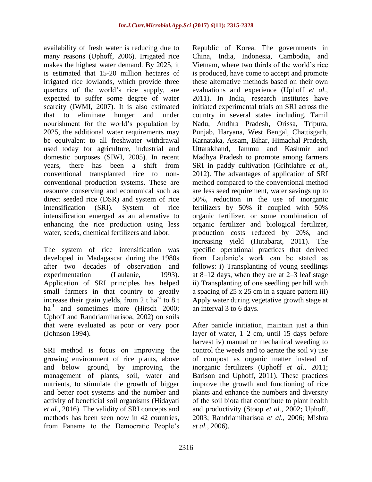availability of fresh water is reducing due to many reasons (Uphoff, 2006). Irrigated rice makes the highest water demand. By 2025, it is estimated that 15-20 million hectares of irrigated rice lowlands, which provide three quarters of the world's rice supply, are expected to suffer some degree of water scarcity (IWMI, 2007). It is also estimated that to eliminate hunger and under nourishment for the world's population by 2025, the additional water requirements may be equivalent to all freshwater withdrawal used today for agriculture, industrial and domestic purposes (SIWI, 2005). In recent years, there has been a shift from conventional transplanted rice to nonconventional production systems. These are resource conserving and economical such as direct seeded rice (DSR) and system of rice intensification (SRI). System of rice intensification emerged as an alternative to enhancing the rice production using less water, seeds, chemical fertilizers and labor.

The system of rice intensification was developed in Madagascar during the 1980s after two decades of observation and experimentation (Laulanie, 1993). Application of SRI principles has helped small farmers in that country to greatly increase their grain yields, from 2 t ha<sup>-1</sup> to 8 t ha<sup>-1</sup> and sometimes more (Hirsch 2000; Uphoff and Randriamiharisoa, 2002) on soils that were evaluated as poor or very poor (Johnson 1994).

SRI method is focus on improving the growing environment of rice plants, above and below ground, by improving the management of plants, soil, water and nutrients, to stimulate the growth of bigger and better root systems and the number and activity of beneficial soil organisms (Hidayati *et al.,* 2016). The validity of SRI concepts and methods has been seen now in 42 countries, from Panama to the Democratic People's Republic of Korea. The governments in China, India, Indonesia, Cambodia, and Vietnam, where two thirds of the world's rice is produced, have come to accept and promote these alternative methods based on their own evaluations and experience (Uphoff *et al.,* 2011). In India, research institutes have initiated experimental trials on SRI across the country in several states including, Tamil Nadu, Andhra Pradesh, Orissa, Tripura, Punjab, Haryana, West Bengal, Chattisgarh, Karnataka, Assam, Bihar, Himachal Pradesh, Uttarakhand, Jammu and Kashmir and Madhya Pradesh to promote among farmers SRI in paddy cultivation (Grihtlahre *et al.,* 2012). The advantages of application of SRI method compared to the conventional method are less seed requirement, water savings up to 50%, reduction in the use of inorganic fertilizers by 50% if coupled with 50% organic fertilizer, or some combination of organic fertilizer and biological fertilizer, production costs reduced by 20%, and increasing yield (Hutabarat, 2011). The specific operational practices that derived from Laulanie's work can be stated as follows: i) Transplanting of young seedlings at 8–12 days, when they are at 2–3 leaf stage ii) Transplanting of one seedling per hill with a spacing of 25 x 25 cm in a square pattern iii) Apply water during vegetative growth stage at an interval 3 to 6 days.

After panicle initiation, maintain just a thin layer of water, 1–2 cm, until 15 days before harvest iv) manual or mechanical weeding to control the weeds and to aerate the soil v) use of compost as organic matter instead of inorganic fertilizers (Uphoff *et al.,* 2011; Barison and Uphoff, 2011). These practices improve the growth and functioning of rice plants and enhance the numbers and diversity of the soil biota that contribute to plant health and productivity (Stoop *et al.,* 2002; Uphoff, 2003; Randriamiharisoa *et al.,* 2006; Mishra *et al.,* 2006).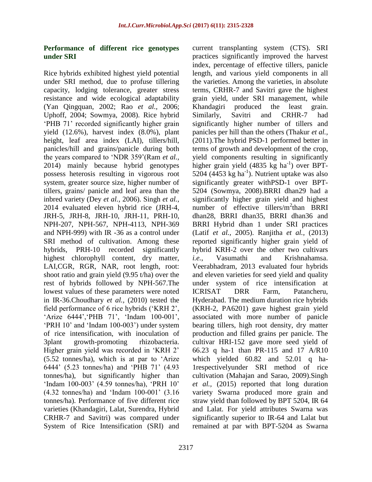current transplanting system (CTS). SRI practices significantly improved the harvest index, percentage of effective tillers, panicle length, and various yield components in all the varieties. Among the varieties, in absolute terms, CRHR-7 and Savitri gave the highest grain yield, under SRI management, while Khandagiri produced the least grain. Similarly, Savitri and CRHR-7 had significantly higher number of tillers and panicles per hill than the others (Thakur *et al.,* (2011).The hybrid PSD-1 performed better in terms of growth and development of the crop, yield components resulting in significantly higher grain yield (4835 kg ha<sup>-1</sup>) over BPT- $5204$  (4453 kg ha<sup>-1</sup>). Nutrient uptake was also significantly greater withPSD-1 over BPT-5204 (Sowmya, 2008).BRRI dhan29 had a significantly higher grain yield and highest number of effective tillers/m<sup>2</sup>than BRRI dhan28, BRRI dhan35, BRRI dhan36 and BRRI Hybrid dhan 1 under SRI practices (Latif *et al.,* 2005). Ranjitha *et al.,* (2013) reported significantly higher grain yield of hybrid KRH-2 over the other two cultivars

# **Performance of different rice genotypes under SRI**

Rice hybrids exhibited highest yield potential under SRI method, due to profuse tillering capacity, lodging tolerance, greater stress resistance and wide ecological adaptability (Yan Qingquan, 2002; Rao *et al.,* 2006; Uphoff, 2004; Sowmya, 2008). Rice hybrid 'PHB 71' recorded significantly higher grain yield (12.6%), harvest index (8.0%), plant height, leaf area index (LAI), tillers/hill, panicles/hill and grains/panicle during both the years compared to 'NDR 359'(Ram *et al.,* 2014) mainly because hybrid genotypes possess heterosis resulting in vigorous root system, greater source size, higher number of tillers, grains/ panicle and leaf area than the inbred variety (Dey *et al.,* 2006). Singh *et al.,* 2014 evaluated eleven hybrid rice (JRH-4, JRH-5, JRH-8, JRH-10, JRH-11, PRH-10, NPH-207, NPH-567, NPH-4113, NPH-369 and NPH-999) with IR -36 as a control under SRI method of cultivation. Among these hybrids, PRH-10 recorded significantly highest chlorophyll content, dry matter, LAI,CGR, RGR, NAR, root length, root: shoot ratio and grain yield (9.95 t/ha) over the rest of hybrids followed by NPH-567.The lowest values of these parameters were noted in IR-36.Choudhary *et al.,* (2010) tested the field performance of 6 rice hybrids ('KRH 2', 'Arize 6444','PHB 71', 'Indam 100-001', 'PRH 10' and 'Indam 100-003') under system of rice intensification, with inoculation of 3plant growth-promoting rhizobacteria. Higher grain yield was recorded in 'KRH 2' (5.52 tonnes/ha), which is at par to 'Arize 6444' (5.23 tonnes/ha) and 'PHB 71' (4.93 tonnes/ha), but significantly higher than 'Indam 100-003' (4.59 tonnes/ha), 'PRH 10' (4.32 tonnes/ha) and 'Indam 100-001' (3.16 tonnes/ha). Performance of five different rice varieties (Khandagiri, Lalat, Surendra, Hybrid CRHR-7 and Savitri) was compared under System of Rice Intensification (SRI) and

*i.e.*, Vasumathi and Krishnahamsa. Veerabhadram, 2013 evaluated four hybrids and eleven varieties for seed yield and quality under system of rice intensification at ICRISAT DRR Farm, Patancheru, Hyderabad. The medium duration rice hybrids (KRH-2, PA6201) gave highest grain yield associated with more number of panicle bearing tillers, high root density, dry matter production and filled grains per panicle. The cultivar HRI-152 gave more seed yield of 66.23 q ha-1 than PR-115 and 17 A/R10 which yielded 60.82 and 52.01 q ha-1respectivelyunder SRI method of rice cultivation (Mahajan and Sarao, 2009).Singh *et al.,* (2015) reported that long duration variety Swarna produced more grain and straw yield than followed by BPT 5204, IR 64 and Lalat. For yield attributes Swarna was significantly superior to IR-64 and Lalat but remained at par with BPT-5204 as Swarna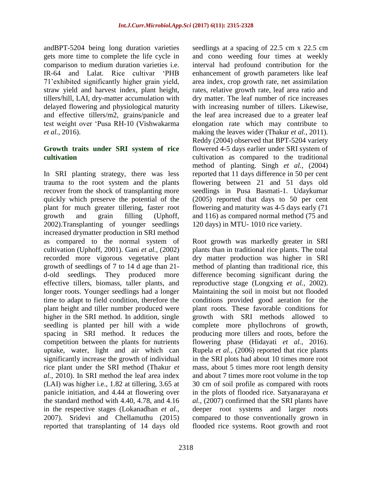andBPT-5204 being long duration varieties gets more time to complete the life cycle in comparison to medium duration varieties i.e. IR-64 and Lalat. Rice cultivar 'PHB 71'exhibited significantly higher grain yield, straw yield and harvest index, plant height, tillers/hill, LAI, dry-matter accumulation with delayed flowering and physiological maturity and effective tillers/m2, grains/panicle and test weight over 'Pusa RH-10 (Vishwakarma *et al.,* 2016).

#### **Growth traits under SRI system of rice cultivation**

In SRI planting strategy, there was less trauma to the root system and the plants recover from the shock of transplanting more quickly which preserve the potential of the plant for much greater tillering, faster root growth and grain filling (Uphoff, 2002).Transplanting of younger seedlings increased drymatter production in SRI method as compared to the normal system of cultivation (Uphoff, 2001). Gani *et al.,* (2002) recorded more vigorous vegetative plant growth of seedlings of 7 to 14 d age than 21 d-old seedlings. They produced more effective tillers, biomass, taller plants, and longer roots. Younger seedlings had a longer time to adapt to field condition, therefore the plant height and tiller number produced were higher in the SRI method. In addition, single seedling is planted per hill with a wide spacing in SRI method. It reduces the competition between the plants for nutrients uptake, water, light and air which can significantly increase the growth of individual rice plant under the SRI method (Thakur *et al.,* 2010). In SRI method the leaf area index (LAI) was higher i.e., 1.82 at tillering, 3.65 at panicle initiation, and 4.44 at flowering over the standard method with 4.40, 4.78, and 4.16 in the respective stages (Lokanadhan *et al.,* 2007). Sridevi and Chellamuthu (2015) reported that transplanting of 14 days old seedlings at a spacing of 22.5 cm x 22.5 cm and cono weeding four times at weekly interval had profound contribution for the enhancement of growth parameters like leaf area index, crop growth rate, net assimilation rates, relative growth rate, leaf area ratio and dry matter. The leaf number of rice increases with increasing number of tillers. Likewise, the leaf area increased due to a greater leaf elongation rate which may contribute to making the leaves wider (Thakur *et al.,* 2011). Reddy (2004) observed that BPT-5204 variety flowered 4-5 days earlier under SRI system of cultivation as compared to the traditional method of planting. Singh *et al.,* (2004) reported that 11 days difference in 50 per cent flowering between 21 and 51 days old seedlings in Pusa Basmati-1. Udaykumar (2005) reported that days to 50 per cent flowering and maturity was 4-5 days early (71 and 116) as compared normal method (75 and 120 days) in MTU- 1010 rice variety.

Root growth was markedly greater in SRI plants than in traditional rice plants. The total dry matter production was higher in SRI method of planting than traditional rice, this difference becoming significant during the reproductive stage (Longxing *et al.,* 2002). Maintaining the soil in moist but not flooded conditions provided good aeration for the plant roots. These favorable conditions for growth with SRI methods allowed to complete more phyllochrons of growth, producing more tillers and roots, before the flowering phase (Hidayati *et al.,* 2016). Rupela *et al.,* (2006) reported that rice plants in the SRI plots had about 10 times more root mass, about 5 times more root length density and about 7 times more root volume in the top 30 cm of soil profile as compared with roots in the plots of flooded rice. Satyanarayana *et al.,* (2007) confirmed that the SRI plants have deeper root systems and larger roots compared to those conventionally grown in flooded rice systems. Root growth and root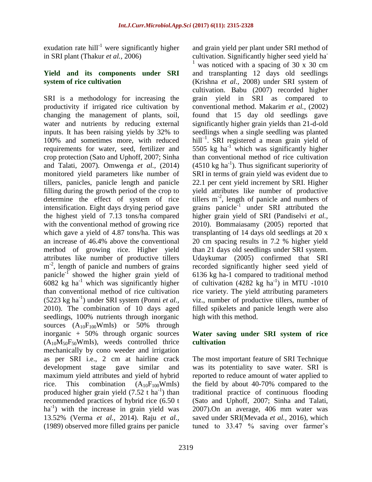exudation rate hill<sup>-1</sup> were significantly higher in SRI plant (Thakur *et al.,* 2006)

#### **Yield and its components under SRI system of rice cultivation**

SRI is a methodology for increasing the productivity if irrigated rice cultivation by changing the management of plants, soil, water and nutrients by reducing external inputs. It has been raising yields by 32% to 100% and sometimes more, with reduced requirements for water, seed, fertilizer and crop protection (Sato and Uphoff, 2007; Sinha and Talati, 2007). Omwenga *et al.,* (2014) monitored yield parameters like number of tillers, panicles, panicle length and panicle filling during the growth period of the crop to determine the effect of system of rice intensification. Eight days drying period gave the highest yield of 7.13 tons/ha compared with the conventional method of growing rice which gave a yield of 4.87 tons/ha. This was an increase of 46.4% above the conventional method of growing rice. Higher yield attributes like number of productive tillers m<sup>-2</sup>, length of panicle and numbers of grains panicle<sup>-1</sup> showed the higher grain yield of  $6082$  kg ha<sup>-1</sup> which was significantly higher than conventional method of rice cultivation (5223 kg ha-1 ) under SRI system (Ponni *et al.,* 2010). The combination of 10 days aged seedlings, 100% nutrients through inorganic sources  $(A_{10}F_{100}WmI_s)$  or 50% through inorganic + 50% through organic sources  $(A_{10}M_{50}F_{50}WmI_s)$ , weeds controlled thrice mechanically by cono weeder and irrigation as per SRI i.e., 2 cm at hairline crack development stage gave similar and maximum yield attributes and yield of hybrid rice. This combination  $(A_{10}F_{100}WmIs)$ produced higher grain yield  $(7.52 \text{ t} \text{ ha}^{-1})$  than recommended practices of hybrid rice (6.50 t ha<sup>-1</sup>) with the increase in grain yield was 13.52% (Verma *et al.,* 2014). Raju *et al.,* (1989) observed more filled grains per panicle

and grain yield per plant under SRI method of cultivation. Significantly higher seed yield ha-<sup>1</sup> was noticed with a spacing of 30 x 30 cm and transplanting 12 days old seedlings (Krishna *et al.,* 2008) under SRI system of cultivation. Babu (2007) recorded higher grain yield in SRI as compared to conventional method. Makarim *et al.,* (2002) found that 15 day old seedlings gave significantly higher grain yields than 21-d-old seedlings when a single seedling was planted hill<sup>-1</sup>. SRI registered a mean grain yield of 5505 kg  $ha^{-1}$  which was significantly higher than conventional method of rice cultivation  $(4510 \text{ kg ha}^{-1})$ . Thus significant superiority of SRI in terms of grain yield was evident due to 22.1 per cent yield increment by SRI. Higher yield attributes like number of productive tillers  $m<sup>2</sup>$ , length of panicle and numbers of grains panicle<sup>-1</sup> under SRI attributed the higher grain yield of SRI (Pandiselvi *et al.,* 2010). Bommaiasamy (2005) reported that transplanting of 14 days old seedlings at 20 x 20 cm spacing results in 7.2 % higher yield than 21 days old seedlings under SRI system. Udaykumar (2005) confirmed that SRI recorded significantly higher seed yield of 6136 kg ha-1 compared to traditional method of cultivation  $(4282 \text{ kg ha}^{-1})$  in MTU -1010 rice variety. The yield attributing parameters viz., number of productive tillers, number of filled spikelets and panicle length were also high with this method.

## **Water saving under SRI system of rice cultivation**

The most important feature of SRI Technique was its potentiality to save water. SRI is reported to reduce amount of water applied to the field by about 40-70% compared to the traditional practice of continuous flooding (Sato and Uphoff, 2007; Sinha and Talati, 2007).On an average, 406 mm water was saved under SRI(Mevada *et al.,* 2016), which tuned to 33.47 % saving over farmer's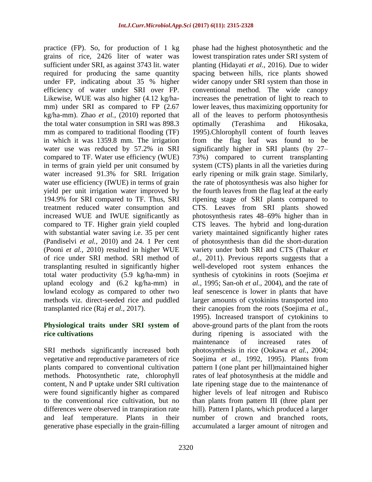practice (FP). So, for production of 1 kg grains of rice, 2426 liter of water was sufficient under SRI, as against 3743 lit. water required for producing the same quantity under FP, indicating about 35 % higher efficiency of water under SRI over FP. Likewise, WUE was also higher (4.12 kg/hamm) under SRI as compared to FP (2.67 kg/ha-mm). Zhao *et al.,* (2010) reported that the total water consumption in SRI was 898.3 mm as compared to traditional flooding (TF) in which it was 1359.8 mm. The irrigation water use was reduced by 57.2% in SRI compared to TF. Water use efficiency (WUE) in terms of grain yield per unit consumed by water increased 91.3% for SRI. Irrigation water use efficiency (IWUE) in terms of grain yield per unit irrigation water improved by 194.9% for SRI compared to TF. Thus, SRI treatment reduced water consumption and increased WUE and IWUE significantly as compared to TF. Higher grain yield coupled with substantial water saving i.e. 35 per cent (Pandiselvi *et al.,* 2010) and 24. 1 Per cent (Pooni *et al.,* 2010) resulted in higher WUE of rice under SRI method. SRI method of transplanting resulted in significantly higher total water productivity (5.9 kg/ha-mm) in upland ecology and (6.2 kg/ha-mm) in lowland ecology as compared to other two methods viz. direct-seeded rice and puddled transplanted rice (Raj *et al.,* 2017).

## **Physiological traits under SRI system of rice cultivations**

SRI methods significantly increased both vegetative and reproductive parameters of rice plants compared to conventional cultivation methods. Photosynthetic rate, chlorophyll content, N and P uptake under SRI cultivation were found significantly higher as compared to the conventional rice cultivation, but no differences were observed in transpiration rate and leaf temperature. Plants in their generative phase especially in the grain-filling phase had the highest photosynthetic and the lowest transpiration rates under SRI system of planting (Hidayati *et al.,* 2016). Due to wider spacing between hills, rice plants showed wider canopy under SRI system than those in conventional method. The wide canopy increases the penetration of light to reach to lower leaves, thus maximizing opportunity for all of the leaves to perform photosynthesis optimally (Terashima and Hikosaka, 1995).Chlorophyll content of fourth leaves from the flag leaf was found to be significantly higher in SRI plants (by 27– 73%) compared to current transplanting system (CTS) plants in all the varieties during early ripening or milk grain stage. Similarly, the rate of photosynthesis was also higher for the fourth leaves from the flag leaf at the early ripening stage of SRI plants compared to CTS. Leaves from SRI plants showed photosynthesis rates 48–69% higher than in CTS leaves. The hybrid and long-duration variety maintained significantly higher rates of photosynthesis than did the short-duration variety under both SRI and CTS (Thakur *et al.,* 2011). Previous reports suggests that a well-developed root system enhances the synthesis of cytokinins in roots (Soejima *et al.,* 1995; San-oh *et al.,* 2004), and the rate of leaf senescence is lower in plants that have larger amounts of cytokinins transported into their canopies from the roots (Soejima *et al.,* 1995). Increased transport of cytokinins to above-ground parts of the plant from the roots during ripening is associated with the maintenance of increased rates of photosynthesis in rice (Ookawa *et al.,* 2004; Soejima *et al.,* 1992, 1995). Plants from pattern I (one plant per hill)maintained higher rates of leaf photosynthesis at the middle and late ripening stage due to the maintenance of higher levels of leaf nitrogen and Rubisco than plants from pattern III (three plant per hill). Pattern I plants, which produced a larger number of crown and branched roots, accumulated a larger amount of nitrogen and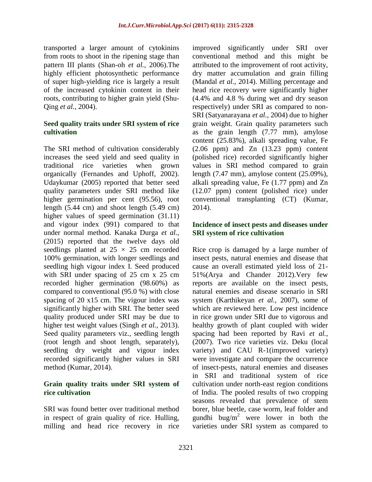transported a larger amount of cytokinins from roots to shoot in the ripening stage than pattern III plants (Shan-oh *et al.,* 2006).The highly efficient photosynthetic performance of super high-yielding rice is largely a result of the increased cytokinin content in their roots, contributing to higher grain yield (Shu-Qing *et al.,* 2004).

## **Seed quality traits under SRI system of rice cultivation**

The SRI method of cultivation considerably increases the seed yield and seed quality in traditional rice varieties when grown organically (Fernandes and Uphoff, 2002). Udaykumar (2005) reported that better seed quality parameters under SRI method like higher germination per cent (95.56), root length (5.44 cm) and shoot length (5.49 cm) higher values of speed germination  $(31.11)$ and vigour index (991) compared to that under normal method. Kanaka Durga *et al.,*  (2015) reported that the twelve days old seedlings planted at  $25 \times 25$  cm recorded 100% germination, with longer seedlings and seedling high vigour index I. Seed produced with SRI under spacing of 25 cm x 25 cm recorded higher germination (98.60%) as compared to conventional (95.0 %) with close spacing of 20 x15 cm. The vigour index was significantly higher with SRI. The better seed quality produced under SRI may be due to higher test weight values (Singh *et al.,* 2013). Seed quality parameters viz., seedling length (root length and shoot length, separately), seedling dry weight and vigour index recorded significantly higher values in SRI method (Kumar, 2014).

## **Grain quality traits under SRI system of rice cultivation**

SRI was found better over traditional method in respect of grain quality of rice. Hulling, milling and head rice recovery in rice improved significantly under SRI over conventional method and this might be attributed to the improvement of root activity, dry matter accumulation and grain filling (Mandal *et al.,* 2014). Milling percentage and head rice recovery were significantly higher (4.4% and 4.8 % during wet and dry season respectively) under SRI as compared to non-SRI (Satyanarayana *et al.,* 2004) due to higher grain weight. Grain quality parameters such as the grain length (7.77 mm), amylose content (25.83%), alkali spreading value, Fe  $(2.06$  ppm) and  $Zn$   $(13.23$  ppm) content (polished rice) recorded significantly higher values in SRI method compared to grain length (7.47 mm), amylose content (25.09%), alkali spreading value, Fe (1.77 ppm) and Zn (12.07 ppm) content (polished rice) under conventional transplanting (CT) (Kumar, 2014).

# **Incidence of insect pests and diseases under SRI system of rice cultivation**

Rice crop is damaged by a large number of insect pests, natural enemies and disease that cause an overall estimated yield loss of 21- 51%(Arya and Chander 2012).Very few reports are available on the insect pests, natural enemies and disease scenario in SRI system (Karthikeyan *et al.,* 2007), some of which are reviewed here. Low pest incidence in rice grown under SRI due to vigorous and healthy growth of plant coupled with wider spacing had been reported by Ravi *et al.,* (2007). Two rice varieties viz. Deku (local variety) and CAU R-1(improved variety) were investigate and compare the occurrence of insect-pests, natural enemies and diseases in SRI and traditional system of rice cultivation under north-east region conditions of India. The pooled results of two cropping seasons revealed that prevalence of stem borer, blue beetle, case worm, leaf folder and gundhi bug/m<sup>2</sup> were lower in both the varieties under SRI system as compared to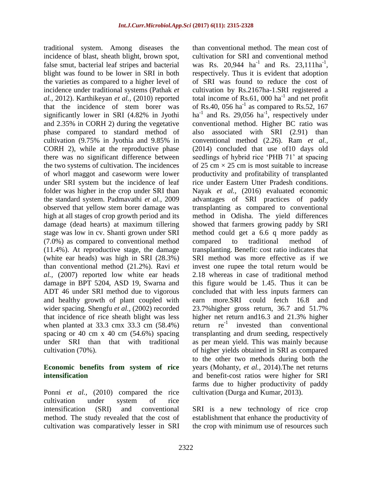traditional system. Among diseases the incidence of blast, sheath blight, brown spot, false smut, bacterial leaf stripes and bacterial blight was found to be lower in SRI in both the varieties as compared to a higher level of incidence under traditional systems (Pathak *et al.,* 2012). Karthikeyan *et al.,* (2010) reported that the incidence of stem borer was significantly lower in SRI (4.82% in Jyothi and 2.35% in CORH 2) during the vegetative phase compared to standard method of cultivation (9.75% in Jyothia and 9.85% in CORH 2), while at the reproductive phase there was no significant difference between the two systems of cultivation. The incidences of whorl maggot and caseworm were lower under SRI system but the incidence of leaf folder was higher in the crop under SRI than the standard system. Padmavathi *et al.,* 2009 observed that yellow stem borer damage was high at all stages of crop growth period and its damage (dead hearts) at maximum tillering stage was low in cv. Shanti grown under SRI (7.0%) as compared to conventional method (11.4%). At reproductive stage, the damage (white ear heads) was high in SRI (28.3%) than conventional method (21.2%). Ravi *et al.,* (2007) reported low white ear heads damage in BPT 5204, ASD 19, Swarna and ADT 46 under SRI method due to vigorous and healthy growth of plant coupled with wider spacing. Shengfu *et al.,* (2002) recorded that incidence of rice sheath blight was less when planted at 33.3 cmx 33.3 cm (58.4%) spacing or 40 cm  $x$  40 cm (54.6%) spacing under SRI than that with traditional cultivation (70%).

## **Economic benefits from system of rice intensification**

Ponni *et al.,* (2010) compared the rice cultivation under system of rice intensification (SRI) and conventional method. The study revealed that the cost of cultivation was comparatively lesser in SRI than conventional method. The mean cost of cultivation for SRI and conventional method was Rs. 20,944  $ha^{-1}$  and Rs. 23,111 $ha^{-1}$ , respectively. Thus it is evident that adoption of SRI was found to reduce the cost of cultivation by Rs.2167ha-1.SRI registered a total income of Rs.61, 000  $ha^{-1}$  and net profit of Rs.40, 056 ha<sup>-1</sup> as compared to Rs.52, 167 ha<sup>-1</sup> and Rs. 29,056 ha<sup>-1</sup>, respectively under conventional method. Higher BC ratio was also associated with SRI (2.91) than conventional method (2.26). Ram *et al.,* (2014) concluded that use of10 days old seedlings of hybrid rice 'PHB 71' at spacing of 25 cm  $\times$  25 cm is most suitable to increase productivity and profitability of transplanted rice under Eastern Utter Pradesh conditions. Nayak *et al.,* (2016) evaluated economic advantages of SRI practices of paddy transplanting as compared to conventional method in Odisha. The yield differences showed that farmers growing paddy by SRI method could get a 6.6 q more paddy as compared to traditional method of transplanting. Benefit: cost ratio indicates that SRI method was more effective as if we invest one rupee the total return would be 2.18 whereas in case of traditional method this figure would be 1.45. Thus it can be concluded that with less inputs farmers can earn more.SRI could fetch 16.8 and 23.7%higher gross return, 36.7 and 51.7% higher net return and16.3 and 21.3% higher return re<sup>-1</sup> invested than conventional transplanting and drum seeding, respectively as per mean yield. This was mainly because of higher yields obtained in SRI as compared to the other two methods during both the years (Mohanty, *et al.,* 2014).The net returns and benefit-cost ratios were higher for SRI farms due to higher productivity of paddy cultivation (Durga and Kumar, 2013).

SRI is a new technology of rice crop establishment that enhance the productivity of the crop with minimum use of resources such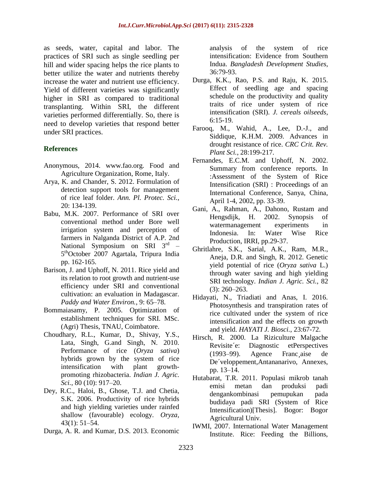as seeds, water, capital and labor. The practices of SRI such as single seedling per hill and wider spacing helps the rice plants to better utilize the water and nutrients thereby increase the water and nutrient use efficiency. Yield of different varieties was significantly higher in SRI as compared to traditional transplanting. Within SRI, the different varieties performed differentially. So, there is need to develop varieties that respond better under SRI practices.

#### **References**

- Anonymous, 2014. www.fao.org. Food and Agriculture Organization, Rome, Italy.
- Arya, K. and Chander, S. 2012. Formulation of detection support tools for management of rice leaf folder. *Ann. Pl. Protec. Sci.*, 20: 134-139.
- Babu, M.K. 2007. Performance of SRI over conventional method under Bore well irrigation system and perception of farmers in Nalganda District of A.P. 2nd National Symposium on SRI 3rd -5<sup>th</sup>October 2007 Agartala, Tripura India pp. 162-165.
- Barison, J. and Uphoff, N. 2011. Rice yield and its relation to root growth and nutrient-use efficiency under SRI and conventional cultivation: an evaluation in Madagascar. *Paddy and Water Environ.*, 9: 65–78.
- Bommaiasamy, P. 2005. Optimization of establishment techniques for SRI. MSc. (Agri) Thesis, TNAU, Coimbatore.
- Choudhary, R.L., Kumar, D., Shivay, Y.S., Lata, Singh, G.and Singh, N. 2010. Performance of rice (*Oryza sativa*) hybrids grown by the system of rice intensification with plant growthpromoting rhizobacteria. *Indian J. Agric. Sci.*, 80 (10): 917–20.
- Dey, R.C., Haloi, B., Ghose, T.J. and Chetia, S.K. 2006. Productivity of rice hybrids and high yielding varieties under rainfed shallow (favourable) ecology. *Oryza*, 43(1): 51–54.
- Durga, A. R. and Kumar, D.S. 2013. Economic

analysis of the system of rice intensification: Evidence from Southern Indua. *Bangladesh Development Studies*, 36:79-93.

- Durga, K.K., Rao, P.S. and Raju, K. 2015. Effect of seedling age and spacing schedule on the productivity and quality traits of rice under system of rice intensification (SRI). *J. cereals oilseeds*, 6:15-19.
- Farooq, M., Wahid, A., Lee, D.-J., and Siddique, K.H.M. 2009. Advances in drought resistance of rice. *CRC Crit. Rev. Plant Sci.*, 28:199-217.
- Fernandes, E.C.M. and Uphoff, N. 2002. Summary from conference reports. In :Assessment of the System of Rice Intensification (SRI) : Proceedings of an International Conference, Sanya, China, April 1-4, 2002, pp. 33-39.
- Gani, A., Rahman, A., Dahono, Rustam and Hengsdijk, H. 2002. Synopsis of watermanagement experiments in Indonesia. In: Water Wise Rice Production, IRRI, pp.29-37.
- Ghritlahre, S.K., Sarial, A.K., Ram, M.R., Aneja, D.R. and Singh, R. 2012. Genetic yield potential of rice (*Oryza sativa* L.) through water saving and high yielding SRI technology. *Indian J. Agric. Sci.*, 82 (3): 260–263.
- Hidayati, N., Triadiati and Anas, I. 2016. Photosynthesis and transpiration rates of rice cultivated under the system of rice intensification and the effects on growth and yield. *HAYATI J. Biosci.*, 23:67-72.
- Hirsch, R. 2000. La Riziculture Malgache Revisite´e: Diagnostic etPerspectives (1993–99). Agence Franc¸aise de De´veloppement,Antananarivo, Annexes, pp. 13–14.
- Hutabarat, T.R. 2011. Populasi mikrob tanah emisi metan dan produksi padi dengankombinasi pemupukan pada budidaya padi SRI (System of Rice Intensification)[Thesis]. Bogor: Bogor Agricultural Univ.
- IWMI, 2007. International Water Management Institute. Rice: Feeding the Billions,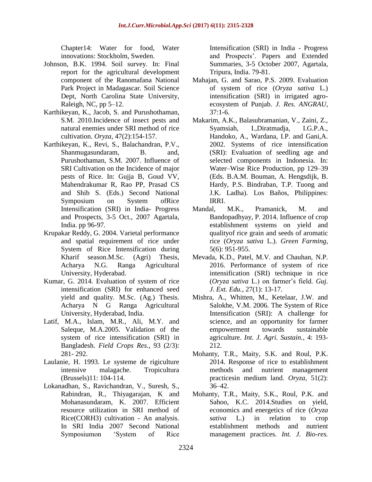Chapter14: Water for food, Water innovations: Stockholm, Sweden.

- Johnson, B.K. 1994. Soil survey. In: Final report for the agricultural development component of the Ranomafana National Park Project in Madagascar. Soil Science Dept, North Carolina State University, Raleigh, NC, pp 5–12.
- Karthikeyan, K., Jacob, S. and Purushothaman, S.M. 2010.Incidence of insect pests and natural enemies under SRI method of rice cultivation. *Oryza*, 47(2):154-157.
- Karthikeyan, K., Revi, S., Balachandran, P.V., Shanmugasundaram, B. and, Purushothaman, S.M. 2007. Influence of SRI Cultivation on the Incidence of major pests of Rice. In: Gujja B, Goud VV, Mahendrakumar R, Rao PP, Prasad CS and Shib S. (Eds.) Second National Symposium on System ofRice Intensification (SRI) in India- Progress and Prospects, 3-5 Oct., 2007 Agartala, India. pp 96-97.
- Krupakar Reddy, G. 2004. Varietal performance and spatial requirement of rice under System of Rice Intensification during Kharif season.M.Sc. (Agri) Thesis, Acharya N.G. Ranga Agricultural University, Hyderabad.
- Kumar, G. 2014. Evaluation of system of rice intensification (SRI) for enhanced seed yield and quality. M.Sc. (Ag.) Thesis. Acharya N G Ranga Agricultural University, Hyderabad, India.
- Latif, M.A., Islam, M.R., Ali, M.Y. and Saleque, M.A.2005. Validation of the system of rice intensification (SRI) in Bangladesh. *Field Crops Res.*, 93 (2/3): 281- 292.
- Laulanie, H. 1993. Le systeme de rigiculture intensive malagache. Tropicultura (Brussels)11: 104-114.
- Lokanadhan, S., Ravichandran, V., Suresh, S., Rabindran, R., Thiyagarajan, K and Mohanasundaram, K. 2007. Efficient resource utilization in SRI method of Rice(CORH3) cultivation - An analysis. In SRI India 2007 Second National Symposiumon 'System of Rice

Intensification (SRI) in India - Progress and Prospects'. Papers and Extended Summaries, 3-5 October 2007, Agartala, Tripura, India. 79-81.

- Mahajan, G. and Sarao, P.S. 2009. Evaluation of system of rice (*Oryza sativa* L.) intensification (SRI) in irrigated agroecosystem of Punjab. *J. Res. ANGRAU*,  $37:1-6.$
- Makarim, A.K., Balasubramanian, V., Zaini, Z., Syamsiah, I.,Diratmadja, I.G.P.A., Handoko, A., Wardana, I.P. and Gani,A. 2002. Systems of rice intensification (SRI): Evaluation of seedling age and selected components in Indonesia. In: Water–Wise Rice Production, pp 129–39 (Eds. B.A.M. Bouman, A. Hengsdijk, B. Hardy, P.S. Bindraban, T.P. Tuong and J.K. Ladha). Los Baños, Philippines: IRRI.
- Mandal, M.K., Pramanick, M. and Bandopadhyay, P. 2014. Influence of crop establishment systems on yield and qualityof rice grain and seeds of aromatic rice (*Oryza sativa* L.). *Green Farming*, 5(6): 951-955.
- Mevada, K.D., Patel, M.V. and Chauhan, N.P. 2016. Performance of system of rice intensification (SRI) technique in rice (*Oryza sativa* L.) on farmer's field. *Guj. J. Ext. Edu.*, 27(1): 13-17.
- Mishra, A., Whitten, M., Ketelaar, J.W. and Salokhe, V.M. 2006. The System of Rice Intensification (SRI): A challenge for science, and an opportunity for farmer empowerment towards sustainable agriculture. *Int. J. Agri. Sustain.*, 4: 193- 212.
- Mohanty, T.R., Maity, S.K. and Roul, P.K. 2014. Response of rice to establishment methods and nutrient management practicesin medium land. *Oryza*, 51(2): 36–42.
- Mohanty, T.R., Maity, S.K., Roul, P.K. and Sahoo, K.C. 2014.Studies on yield, economics and energetics of rice (*Oryza sativa* L.) in relation to crop establishment methods and nutrient management practices. *Int. J. Bio-res.*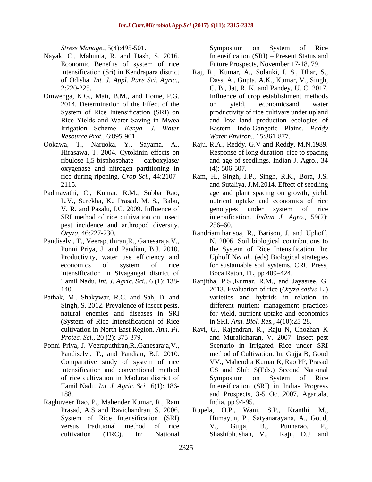*Stress Manage.*, 5(4):495-501.

- Nayak, C., Mahunta, R. and Dash, S. 2016. Economic Benefits of system of rice intensification (Sri) in Kendrapara district of Odisha. *Int. J. Appl. Pure Sci. Agric.*, 2:220-225.
- Omwenga, K.G., Mati, B.M., and Home, P.G. 2014. Determination of the Effect of the System of Rice Intensification (SRI) on Rice Yields and Water Saving in Mwea Irrigation Scheme. *Kenya. J. Water Resource Prot.*, 6:895-901.
- Ookawa, T., Naruoka, Y., Sayama, A., Hirasawa, T. 2004. Cytokinin effects on ribulose-1,5-bisphosphate carboxylase/ oxygenase and nitrogen partitioning in rice during ripening. *Crop Sci.*, 44:2107– 2115.
- Padmavathi, C., Kumar, R.M., Subba Rao, L.V., Surekha, K., Prasad. M. S., Babu, V. R. and Pasalu, I.C. 2009. Influence of SRI method of rice cultivation on insect pest incidence and arthropod diversity. *Oryza*, 46:227-230.
- Pandiselvi, T., Veeraputhiran,R., Ganesaraja,V., Ponni Priya, J. and Pandian, B.J. 2010. Productivity, water use efficiency and economics of system of rice intensification in Sivagangai district of Tamil Nadu. *Int. J. Agric. Sci.*, 6 (1): 138- 140.
- Pathak, M., Shakywar, R.C. and Sah, D. and Singh, S. 2012. Prevalence of insect pests, natural enemies and diseases in SRI (System of Rice Intensification) of Rice cultivation in North East Region. *Ann. Pl. Protec. Sci.*, 20 (2): 375-379.
- Ponni Priya, J. Veeraputhiran,R.,Ganesaraja,V., Pandiselvi, T., and Pandian, B.J. 2010. Comparative study of system of rice intensification and conventional method of rice cultivation in Madurai district of Tamil Nadu. *Int. J. Agric. Sci.*, 6(1): 186- 188.
- Raghuveer Rao, P., Mahender Kumar, R., Ram Prasad, A.S and Ravichandran, S. 2006. System of Rice Intensification (SRI) versus traditional method of rice cultivation (TRC). In: National

Symposium on System of Rice Intensification (SRI) – Present Status and Future Prospects, November 17-18, 79.

- Raj, R., Kumar, A., Solanki, I. S., Dhar, S., Dass, A., Gupta, A.K., Kumar, V., Singh, C. B., Jat, R. K. and Pandey, U. C. 2017. Influence of crop establishment methods on yield, economicsand water productivity of rice cultivars under upland and low land production ecologies of Eastern Indo-Gangetic Plains. *Paddy Water Environ.*, 15:861-877.
- Raju, R.A., Reddy, G.V and Reddy, M.N.1989. Response of long duration rice to spacing and age of seedlings. Indian J. Agro., 34 (4): 506-507.
- Ram, H., Singh, J.P., Singh, R.K., Bora, J.S. and Sutaliya, J.M.2014. Effect of seedling age and plant spacing on growth, yield, nutrient uptake and economics of rice genotypes under system of rice intensification. *Indian J. Agro.*, 59(2): 256–60.
- Randriamiharisoa, R., Barison, J. and Uphoff, N. 2006. Soil biological contributions to the System of Rice Intensification. In: Uphoff N*et al.,* (eds) Biological strategies for sustainable soil systems. CRC Press, Boca Raton, FL, pp 409–424.
- Ranjitha, P.S.,Kumar, R.M., and Jayasree, G. 2013. Evaluation of rice (*Oryza sativa* L.) varieties and hybrids in relation to different nutrient management practices for yield, nutrient uptake and economics in SRI. *Ann. Biol. Res.*, 4(10):25-28.
- Ravi, G., Rajendran, R., Raju N, Chozhan K and Muralidharan, V. 2007. Insect pest Scenario in Irrigated Rice under SRI method of Cultivation. In: Gujja B, Goud VV., Mahendra Kumar R, Rao PP, Prasad CS and Shib S(Eds.) Second National Symposium on System of Rice Intensification (SRI) in India- Progress and Prospects, 3-5 Oct.,2007, Agartala, India. pp 94-95.
- Rupela, O.P., Wani, S.P., Kranthi, M., Humayun, P., Satyanarayana, A., Goud, V., Gujja, B., Punnarao, P., Shashibhushan, V., Raju, D.J. and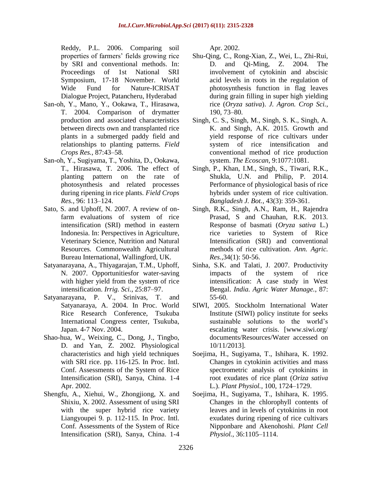Reddy, P.L. 2006. Comparing soil properties of farmers' fields growing rice by SRI and conventional methods. In: Proceedings of 1st National SRI Symposium, 17-18 November. World Wide Fund for Nature-ICRISAT Dialogue Project, Patancheru, Hyderabad

- San-oh, Y., Mano, Y., Ookawa, T., Hirasawa, T. 2004. Comparison of drymatter production and associated characteristics between directs own and transplanted rice plants in a submerged paddy field and relationships to planting patterns. *Field Crops Res.*, 87:43–58.
- San-oh, Y., Sugiyama, T., Yoshita, D., Ookawa, T., Hirasawa, T. 2006. The effect of planting pattern on the rate of photosynthesis and related processes during ripening in rice plants. *Field Crops Res.*, 96: 113–124.
- Sato, S. and Uphoff, N. 2007. A review of onfarm evaluations of system of rice intensification (SRI) method in eastern Indonesia. In: Perspectives in Agriculture, Veterinary Science, Nutrition and Natural Resources. Commonwealth Agricultural Bureau International, Wallingford, UK.
- Satyanarayana, A., Thiyagarajan, T.M., Uphoff, N. 2007. Opportunitiesfor water-saving with higher yield from the system of rice intensification. *Irrig. Sci.*, 25:87–97.
- Satyanarayana, P. V., Srinivas, T. and Satyanaraya, A. 2004. In Proc. World Rice Research Conference, Tsukuba International Congress center, Tsukuba, Japan. 4-7 Nov. 2004.
- Shao-hua, W., Weixing, C., Dong, J., Tingbo, D. and Yan, Z. 2002. Physiological characteristics and high yield techniques with SRI rice. pp. 116-125. In Proc. Intl. Conf. Assessments of the System of Rice Intensification (SRI), Sanya, China. 1-4 Apr. 2002.
- Shengfu, A., Xiehui, W., Zhongjiong, X. and Shixiu, X. 2002. Assessment of using SRI with the super hybrid rice variety Liangyoupei 9. p. 112-115. In Proc. Intl. Conf. Assessments of the System of Rice Intensification (SRI), Sanya, China. 1-4

Apr. 2002.

- Shu-Qing, C., Rong-Xian, Z., Wei, L., Zhi-Rui, D. and Qi-Ming, Z. 2004. The involvement of cytokinin and abscisic acid levels in roots in the regulation of photosynthesis function in flag leaves during grain filling in super high yielding rice (*Oryza sativa*). *J. Agron. Crop Sci.*, 190, 73–80.
- Singh, C. S., Singh, M., Singh, S. K., Singh, A. K. and Singh, A.K. 2015. Growth and yield response of rice cultivars under system of rice intensification and conventional method of rice production system. *The Ecoscan*, 9:1077:1081.
- Singh, P., Khan, I.M., Singh, S., Tiwari, R.K., Shukla, U.N. and Philip, P. 2014. Performance of physiological basis of rice hybrids under system of rice cultivation. *Bangladesh J. Bot.*, 43(3): 359-361.
- Singh, R.K., Singh, A.N., Ram, H., Rajendra Prasad, S and Chauhan, R.K. 2013. Response of basmati (*Oryza sativa* L.) rice varieties to System of Rice Intensification (SRI) and conventional methods of rice cultivation. *Ann. Agric. Res.*,34(1): 50-56.
- Sinha, S.K. and Talati, J. 2007. Productivity impacts of the system of rice intensification: A case study in West Bengal. *India. Agric Water Manage.*, 87: 55-60.
- SIWI, 2005. Stockholm International Water Institute (SIWI) policy institute for seeks sustainable solutions to the world's escalating water crisis. [www.siwi.org/ documents/Resources/Water accessed on 10/11/2013].
- Soejima, H., Sugiyama, T., Ishihara, K. 1992. Changes in cytokinin activities and mass spectrometric analysis of cytokinins in root exudates of rice plant (*Oriza sativa* L.). *Plant Physiol.*, 100, 1724–1729.
- Soejima, H., Sugiyama, T., Ishihara, K. 1995. Changes in the chlorophyll contents of leaves and in levels of cytokinins in root exudates during ripening of rice cultivars Nipponbare and Akenohoshi. *Plant Cell Physiol.*, 36:1105–1114.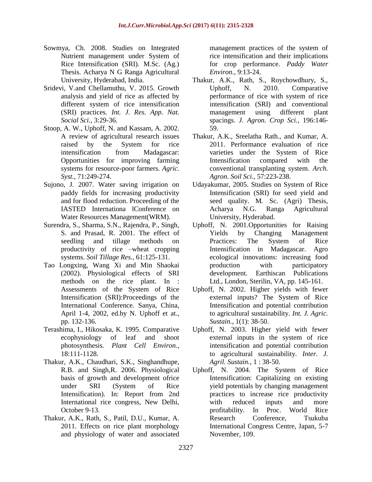- Sowmya, Ch. 2008. Studies on Integrated Nutrient management under System of Rice Intensification (SRI). M.Sc. (Ag.) Thesis. Acharya N G Ranga Agricultural University, Hyderabad, India.
- Sridevi, V.and Chellamuthu, V. 2015. Growth analysis and yield of rice as affected by different system of rice intensification (SRI) practices. *Int. J. Res. App. Nat. Social Sci.*, 3:29-36.
- Stoop, A. W., Uphoff, N. and Kassam, A. 2002. A review of agricultural research issues raised by the System for rice intensification from Madagascar: Opportunities for improving farming systems for resource-poor farmers. *Agric. Syst.*, 71:249-274.
- Sujono, J. 2007. Water saving irrigation on paddy fields for increasing productivity and for flood reduction. Proceeding of the IASTED Internationa lConference on Water Resources Management(WRM).
- Surendra, S., Sharma, S.N., Rajendra, P., Singh, S. and Prasad, R. 2001. The effect of seedling and tillage methods on productivity of rice –wheat cropping systems. *Soil Tillage Res.*, 61:125-131.
- Tao Longxing, Wang Xi and Min Shaokai (2002). Physiological effects of SRI methods on the rice plant. In : Assessments of the System of Rice Intensification (SRI):Proceedings of the International Conference. Sanya, China, April 1-4, 2002, ed.by N. Uphoff et at., pp. 132-136.
- Terashima, I., Hikosaka, K. 1995. Comparative ecophysiology of leaf and shoot photosynthesis. *Plant Cell Environ.*, 18:111-1128.
- Thakur, A.K., Chaudhari, S.K., Singhandhupe, R.B. and Singh,R. 2006. Physiological basis of growth and development ofrice under SRI (System of Rice Intensification). In: Report from 2nd International rice congress, New Delhi, October 9-13.
- Thakur, A.K., Rath, S., Patil, D.U., Kumar, A. 2011. Effects on rice plant morphology and physiology of water and associated

management practices of the system of rice intensification and their implications for crop performance. *Paddy Water Environ.*, 9:13-24.

- Thakur, A.K., Rath, S., Roychowdhury, S., Uphoff, N. 2010. Comparative performance of rice with system of rice intensification (SRI) and conventional management using different plant spacings. *J. Agron. Crop Sci.*, 196:146- 59.
- Thakur, A.K., Sreelatha Rath., and Kumar, A. 2011. Performance evaluation of rice varieties under the System of Rice Intensification compared with the conventional transplanting system. *Arch. Agron. Soil Sci.*, 57:223-238.
- Udayakumar, 2005. Studies on System of Rice Intensification (SRI) for seed yield and seed quality. M. Sc. (Agri) Thesis, Acharya N.G. Ranga Agricultural University, Hyderabad.
- Uphoff, N. 2001.Opportunities for Raising Yields by Changing Management Practices: The System of Rice Intensification in Madagascar. Agro ecological innovations: increasing food production with participatory development. Earthiscan Publications Ltd., London, Sterilin, VA, pp. 145-161.
- Uphoff, N. 2002. Higher yields with fewer external inputs? The System of Rice Intensification and potential contribution to agricultural sustainability. *Int. J. Agric. Sustain.*, 1(1): 38-50.
- Uphoff, N. 2003. Higher yield with fewer external inputs in the system of rice intensification and potential contribution to agricultural sustainability. *Inter. J. Agril. Sustain.*, 1 : 38-50.
- Uphoff, N. 2004. The System of Rice Intensification: Capitalizing on existing yield potentials by changing management practices to increase rice productivity with reduced inputs and more profitability. In Proc. World Rice Research Conference, Tsukuba International Congress Centre, Japan, 5-7 November, 109.